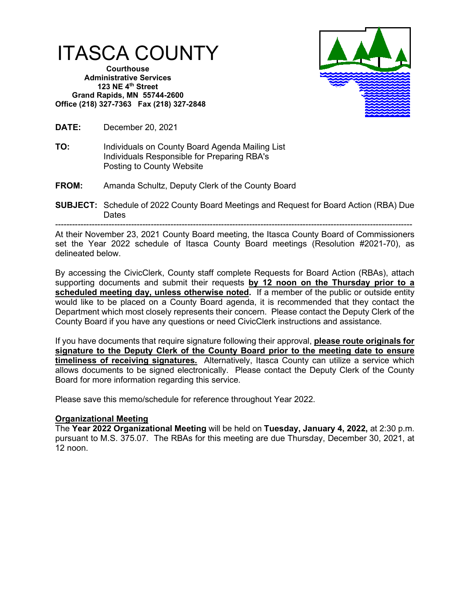

**Courthouse Administrative Services 123 NE 4th Street Grand Rapids, MN 55744-2600 Office (218) 327-7363 Fax (218) 327-2848**



**DATE:** December 20, 2021

- **TO:** Individuals on County Board Agenda Mailing List Individuals Responsible for Preparing RBA's Posting to County Website
- **FROM:** Amanda Schultz, Deputy Clerk of the County Board
- **SUBJECT:** Schedule of 2022 County Board Meetings and Request for Board Action (RBA) Due Dates

------------------------------------------------------------------------------------------------------------------------------- At their November 23, 2021 County Board meeting, the Itasca County Board of Commissioners set the Year 2022 schedule of Itasca County Board meetings (Resolution #2021-70), as delineated below.

By accessing the CivicClerk, County staff complete Requests for Board Action (RBAs), attach supporting documents and submit their requests **by 12 noon on the Thursday prior to a**  scheduled meeting day, unless otherwise noted. If a member of the public or outside entity would like to be placed on a County Board agenda, it is recommended that they contact the Department which most closely represents their concern. Please contact the Deputy Clerk of the County Board if you have any questions or need CivicClerk instructions and assistance.

If you have documents that require signature following their approval, **please route originals for signature to the Deputy Clerk of the County Board prior to the meeting date to ensure timeliness of receiving signatures.** Alternatively, Itasca County can utilize a service which allows documents to be signed electronically. Please contact the Deputy Clerk of the County Board for more information regarding this service.

Please save this memo/schedule for reference throughout Year 2022.

# **Organizational Meeting**

The **Year 2022 Organizational Meeting** will be held on **Tuesday, January 4, 2022,** at 2:30 p.m. pursuant to M.S. 375.07. The RBAs for this meeting are due Thursday, December 30, 2021, at 12 noon.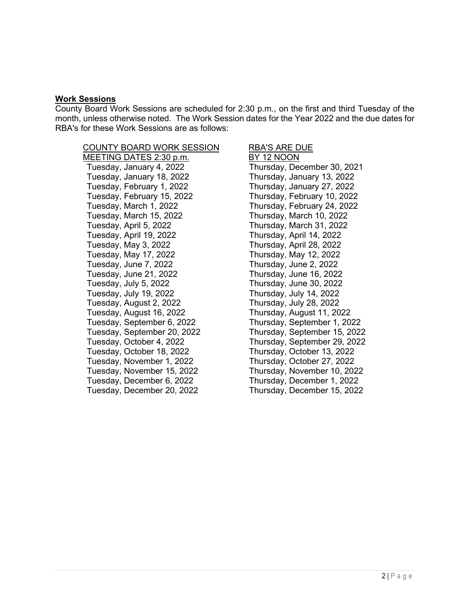### **Work Sessions**

County Board Work Sessions are scheduled for 2:30 p.m., on the first and third Tuesday of the month, unless otherwise noted. The Work Session dates for the Year 2022 and the due dates for RBA's for these Work Sessions are as follows:

# COUNTY BOARD WORK SESSION RBA'S ARE DUE

MEETING DATES 2:30 p.m. Tuesday, January 4, 2022 Thursday, December 30, 2021 Tuesday, January 18, 2022 Thursday, January 13, 2022 Tuesday, February 1, 2022 Thursday, January 27, 2022 Tuesday, February 15, 2022 Thursday, February 10, 2022 Tuesday, March 1, 2022 Thursday, February 24, 2022 Tuesday, March 15, 2022 Thursday, March 10, 2022 Tuesday, April 5, 2022 Thursday, March 31, 2022 Tuesday, April 19, 2022 Thursday, April 14, 2022 Tuesday, May 3, 2022 Thursday, April 28, 2022 Tuesday, May 17, 2022 Thursday, May 12, 2022 Tuesday, June 7, 2022 Thursday, June 2, 2022 Tuesday, June 21, 2022 Thursday, June 16, 2022 Tuesday, July 19, 2022 Thursday, July 14, 2022 Tuesday, August 2, 2022 Thursday, July 28, 2022 Tuesday, September 6, 2022 Thursday, September 1, 2022 Tuesday, September 20, 2022 Thursday, September 15, 2022 Tuesday, October 4, 2022 Thursday, September 29, 2022 Tuesday, October 18, 2022 Thursday, October 13, 2022 Tuesday, November 1, 2022 Thursday, October 27, 2022 Tuesday, November 15, 2022 Thursday, November 10, 2022 Tuesday, December 20, 2022 Thursday, December 15, 2022

Thursday, June 30, 2022 Thursday, August 11, 2022 Thursday, December 1, 2022